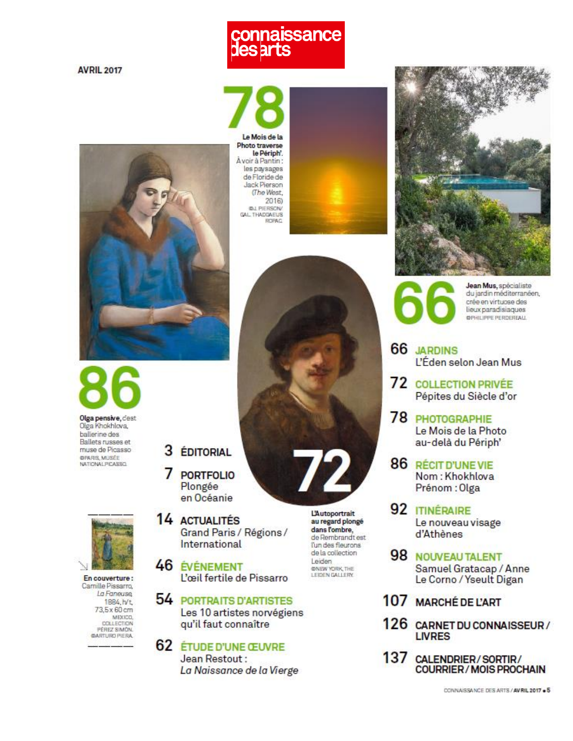# connaissance des arts

**AVRIL 2017** 



Le Mois de la Photo traverse le Périph'. À voir à Pantin: les paysages de Floride de Jack Pierson The West. 2016) **BL PIERSON/** GAL THADDAEUS **ROBAC** 





- **3 ÉDITORIAL** 
	- 7 PORTFOLIO Plongée en Océanie
- 14 ACTUALITÉS Grand Paris / Régions / International

Olga pensive, dest Olga Khokhlova,

ballerine des Ballets russes et

OPARIS, MUSÉE

NATIONAL PICASSO

En couverture:

Camille Pissarro, La Faneuse

> 1884, h/t, 73,5 x 60 cm

MEXICO,

PÉREZ SIMÓN.

muse de Picasso

46 ÉVÉNEMENT L'œil fertile de Pissarro

54 PORTRAITS D'ARTISTES Les 10 artistes norvégiens qu'il faut connaître

62 ÉTUDE D'UNE ŒUVRE Jean Restout: La Naissance de la Vierge

L'Autoportrait au regard plongé dans l'ombre. de Rembrandt est l'un des fleurons de la collection Leiden **ØNEW YORK, THE** LEIDEN GALLERY





- Jean Mus, spécialiste du jardin méditerranéen, crée en virtuose des lieux paradisiaques **BRUILIPPE PERDEBEAU**
- 66 JARDINS L'Éden selon Jean Mus
- **72 COLLECTION PRIVÉE** Pépites du Siècle d'or
- **78 PHOTOGRAPHIE** Le Mois de la Photo au-delà du Périph'
- 86 RÉCIT D'UNE VIE Nom: Khokhlova Prénom : Olga
- 92 ITINÉRAIRE Le nouveau visage d'Athènes
- 98 NOUVEAU TALENT Samuel Gratacap / Anne Le Corno / Yseult Digan
- 107 MARCHÉ DE L'ART
- 126 CARNET DU CONNAISSEUR/ **LIVRES**
- 137 CALENDRIER/SORTIR/ **COURRIER/MOIS PROCHAIN**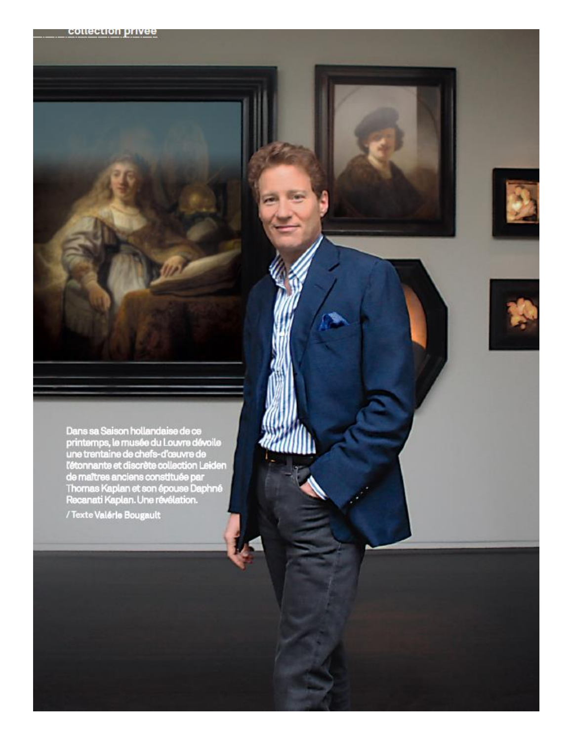Dans sa Saison hollandaise de ce<br>printemps, le musée du Louvre dévoile<br>une trentaine de chefs-d'œuvre de<br>l'étonnante et discrète collection Leiden<br>de maîtres anciens constituée par<br>Thomas Kaplan et son épouse Daphné<br>Recana / Texte Valérie Bougault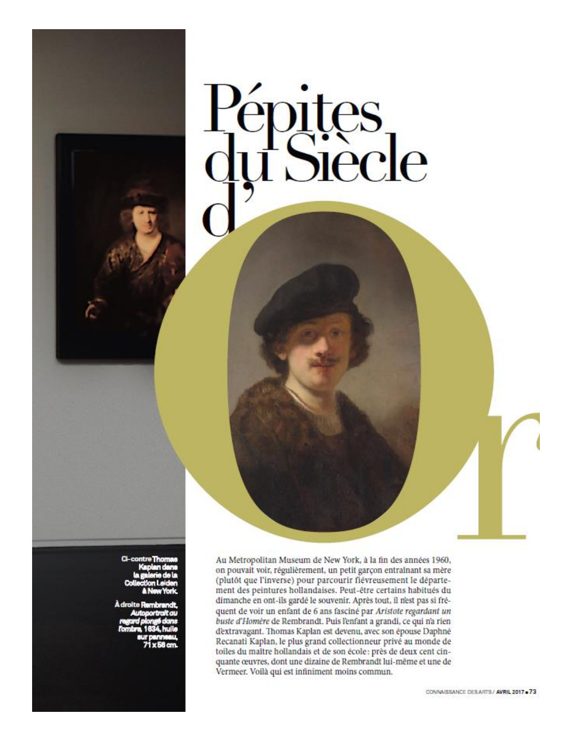# $\overline{\mathsf{P}}$

Ci-contre T

Au Metropolitan Museum de New York, à la fin des années 1960, on pouvait voir, régulièrement, un petit garçon entraînant sa mère (plutôt que l'inverse) pour parcourir fiévreusement le département des peintures hollandaises. Peut-être certains habitués du dimanche en ont-ils gardé le souvenir. Après tout, il n'est pas si fréquent de voir un enfant de 6 ans fasciné par Aristote regardant un buste d'Homère de Rembrandt. Puis l'enfant a grandi, ce qui n'a rien d'extravagant. Thomas Kaplan est devenu, avec son épouse Daphné Recanati Kaplan, le plus grand collectionneur privé au monde de toiles du maître hollandais et de son école: près de deux cent cinquante œuvres, dont une dizaine de Rembrandt lui-même et une de Vermeer. Voilà qui est infiniment moins commun.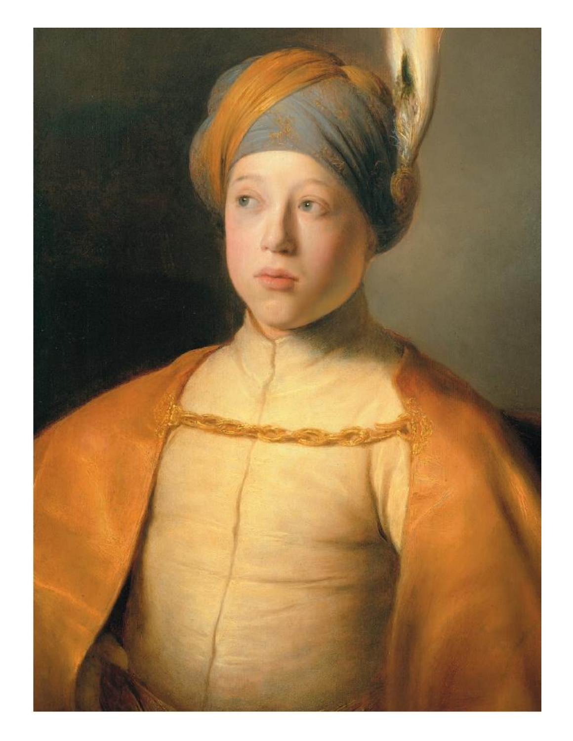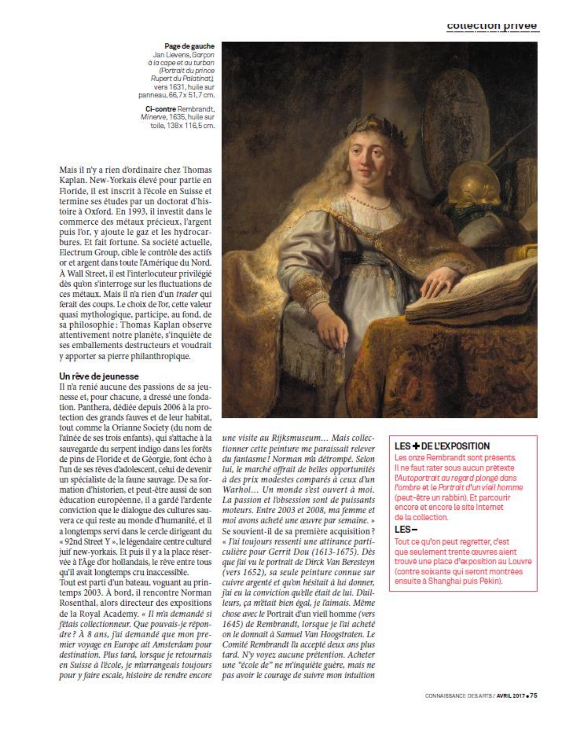Page de gauche Jan Lievens, Garçon à la cape et au turban (Portrait du prince Rupert du Palatinat). vers 1631, huile sur panneau, 66, 7 x 51, 7 cm.

Ci-contre Rembrandt, Minerve, 1635, huile sur toile, 13Bx 116,5 cm.

Mais il n'y a rien d'ordinaire chez Thomas Kaplan. New-Yorkais élevé pour partie en Floride, il est inscrit à l'école en Suisse et termine ses études par un doctorat d'histoire à Oxford. En 1993, il investit dans le commerce des métaux précieux, l'argent puis l'or, y ajoute le gaz et les hydrocarbures. Et fait fortune. Sa société actuelle, Electrum Group, cible le contrôle des actifs or et argent dans toute l'Amérique du Nord. À Wall Street, il est l'interlocuteur privilégié dès qu'on s'interroge sur les fluctuations de ces métaux. Mais il n'a rien d'un trader qui ferait des coups. Le choix de l'or, cette valeur quasi mythologique, participe, au fond, de sa philosophie: Thomas Kaplan observe attentivement notre planète, s'inquiète de ses emballements destructeurs et voudrait y apporter sa pierre philanthropique.

### Un rêve de jeunesse

Il n'a renié aucune des passions de sa jeunesse et, pour chacune, a dressé une fondation. Panthera, dédiée depuis 2006 à la protection des grands fauves et de leur habitat, tout comme la Orianne Society (du nom de l'aînée de ses trois enfants), qui s'attache à la sauvegarde du serpent indigo dans les forêts de pins de Floride et de Géorgie, font écho à l'un de ses rêves d'adolescent, celui de devenir un spécialiste de la faune sauvage. De sa formation d'historien, et peut-être aussi de son éducation européenne, il a gardé l'ardente conviction que le dialogue des cultures sauvera ce qui reste au monde d'humanité, et il a longtemps servi dans le cercle dirigeant du « 92nd Street Y », le légendaire centre culturel juif new-yorkais. Et puis il y a la place réservée à l'Âge d'or hollandais, le rêve entre tous qu'il avait longtemps cru inaccessible.

Tout est parti d'un bateau, voguant au printemps 2003. A bord, il rencontre Norman Rosenthal, alors directeur des expositions de la Royal Academy. « Il m'a demandé si fétais collectionneur. Que pouvais-je répondre? À 8 ans, j'ai demandé que mon premier voyage en Europe ait Amsterdam pour destination. Plus tard, lorsque je retournais en Suisse à l'école, je m'arrangeais toujours pour y faire escale, histoire de rendre encore



une visite au Rijksmuseum... Mais collectionner cette peinture me paraissait relever du fantasme! Norman ma détrompé. Selon lui, le marché offrait de belles opportunités à des prix modestes comparés à ceux d'un Warhol... Un monde s'est ouvert à moi. La passion et l'obsession sont de puissants moteurs. Entre 2003 et 2008, ma femme et moi avons acheté une œuvre par semaine. » Se souvient-il de sa première acquisition? « J'ai toujours ressenti une attirance particulière pour Gerrit Dou (1613-1675). Dès que j'ai vu le portrait de Dirck Van Beresteyn (vers 1652), sa seule peinture connue sur cuivre argenté et qu'on hésitait à lui donner, j'ai eu la conviction qu'elle était de lui. D'ailleurs, ça m'était bien égal, je l'aimais. Même chose avec le Portrait d'un vieil homme (vers 1645) de Rembrandt, lorsque je l'ai acheté on le donnait à Samuel Van Hoogstraten. Le Comité Rembrandt la accepté deux ans plus tard. N'y voyez aucune prétention. Acheter une "école de" ne m'inquiète guère, mais ne pas avoir le courage de suivre mon intuition

### **LES + DE L'EXPOSITION**

Les onze Rembrandt sont présents. It ne faut rater sous aucun prétexte l'Autoportrait au regard plongé dans l'ombre et le Portrait d'un vieil homme (peut-être un rabbin). Et parcourir encore et encore le site Internet de la collection.

### $LES -$

Tout ce qu'on peut regretter, c'est que seulement trente œuvres aient trouvé une place d'exposition au Louvre (contre soixante qui seront montrées ensuite à Shanghai puis Pekin).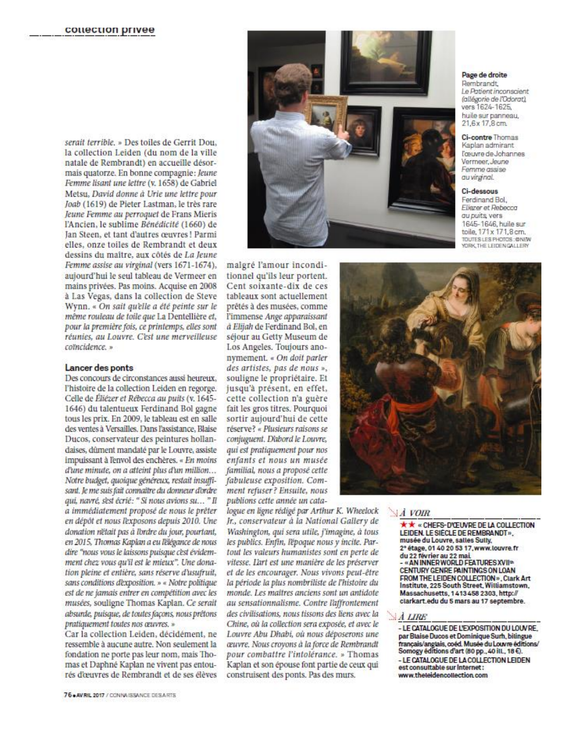sergit terrible. » Des toiles de Gerrit Dou. la collection Leiden (du nom de la ville natale de Rembrandt) en accueille désormais quatorze. En bonne compagnie: Jeune Femme lisant une lettre (v. 1658) de Gabriel Metsu, David donne à Urie une lettre pour Joab (1619) de Pieter Lastman, le très rare Jeune Femme au perroquet de Frans Mieris l'Ancien, le sublime Bénédicité (1660) de Jan Steen, et tant d'autres œuvres ! Parmi elles, onze toiles de Rembrandt et deux dessins du maître, aux côtés de La Jeune Femme assise au virginal (vers 1671-1674), aujourd'hui le seul tableau de Vermeer en mains privées. Pas moins. Acquise en 2008 à Las Vegas, dans la collection de Steve Wynn. « On sait qu'elle a été peinte sur le même rouleau de toile que La Dentellière et, pour la première fois, ce printemps, elles sont réunies, au Louvre. C'est une merveilleuse coïncidence, »

### Lancer des ponts

Des concours de circonstances aussi heureux. l'histoire de la collection Leiden en regorge. Celle de Éliézer et Rébecca au puits (v. 1645-1646) du talentueux Ferdinand Bol gagne tous les prix. En 2009, le tableau est en salle des ventes à Versailles. Dans l'assistance, Blaise Ducos, conservateur des peintures hollandaises, dûment mandaté par le Louvre, assiste impuissant à l'envol des enchères. « En moins d'une minute, on a atteint plus d'un million... Notre budget, quoique généreux, restait insuffisant. Je me suis fait connaître du donneur d'ordre qui, navré, s'est écrié: " Si nous avions su... " Il a immédiatement proposé de nous le prêter en dépôt et nous l'exposons depuis 2010. Une donation netait pas à lordre du jour, pourtant, en 2015, Thomas Kaplan a eu l'élégance de nous dire "nous vous le laissons puisque cest évidemment chez vous qu'il est le mieux". Une donation pleine et entière, sans réserve d'usufruit, sans conditions dexposition. » « Notre politique est de ne jamais entrer en compétition avec les musées, souligne Thomas Kaplan. Ce serait absurde, puisque, de toutes façons, nous prêtons pratiquement toutes nos œuvres. »

Car la collection Leiden, décidément, ne ressemble à aucune autre. Non seulement la fondation ne porte pas leur nom, mais Thomas et Daphné Kaplan ne vivent pas entourés d'œuvres de Rembrandt et de ses élèves



malgré l'amour inconditionnel qu'ils leur portent. Cent soixante-dix de ces tableaux sont actuellement prêtés à des musées, comme l'immense Ange apparaissant à Elijah de Ferdinand Bol, en séjour au Getty Museum de Los Angeles. Toujours anonymement. « On doit parler des artistes, pas de nous », souligne le propriétaire. Et jusqu'à présent, en effet, cette collection n'a guère fait les gros titres. Pourquoi sortir aujourd'hui de cette réserve? « Plusieurs raisons se conjuguent. D'abord le Louvre, qui est pratiquement pour nos enfants et nous un musée familial, nous a proposé cette fabuleuse exposition. Comment refuser? Ensuite, nous publions cette année un cata-

logue en ligne rédigé par Arthur K. Wheelock Jr., conservateur à la National Gallery de Washington, qui sera utile, j'imagine, à tous les publics. Enfin, l'époque nous y incite. Partout les valeurs humanistes sont en perte de vitesse. Lart est une manière de les préserver et de les encourager. Nous vivons peut-être la période la plus nombriliste de l'histoire du monde. Les maîtres anciens sont un antidote au sensationnalisme. Contre l'affrontement des civilisations, nous tissons des liens avec la Chine, où la collection sera exposée, et avec le Louvre Abu Dhabi, où nous déposerons une œuvre. Nous croyons à la force de Rembrandt pour combattre l'intolérance. » Thomas Kaplan et son épouse font partie de ceux qui construisent des ponts. Pas des murs.

### A VOIR

\* \* « CHEFS-D'ŒUVRE DE LA COLLECTION LEIDEN. LE SIÈCLE DE REMBRANDT», musée du Louvre, saties Suity, 2ª étage, 01 40 20 53 17, www.louvre.fr du 22 février au 22 mai. «AN INNER WORLD FEATURES XVII» CENTURY GENRE PAINTINGS ON LOAN FROM THE LEIDEN COLLECTION ». Clark Art Institute, 225 South Street, Williamstown, Massachusetts, 1413458 2303, http:// clarkart.edu du 5 mars au 17 septembre.

### A LIRE

- LE CATALOGUE DE L'EXPOSITION DU LOUVRE. par Blaise Ducos et Dominique Surh, bilingue français/anglais, coéd. Musée du Louvre éditions/ Somogy éditions d'art (80 pp., 40 ill., 18 €). - LE CATALOGUE DE LA COLLECTION LEIDEN est consultable sur Internet: www.theleidencollection.com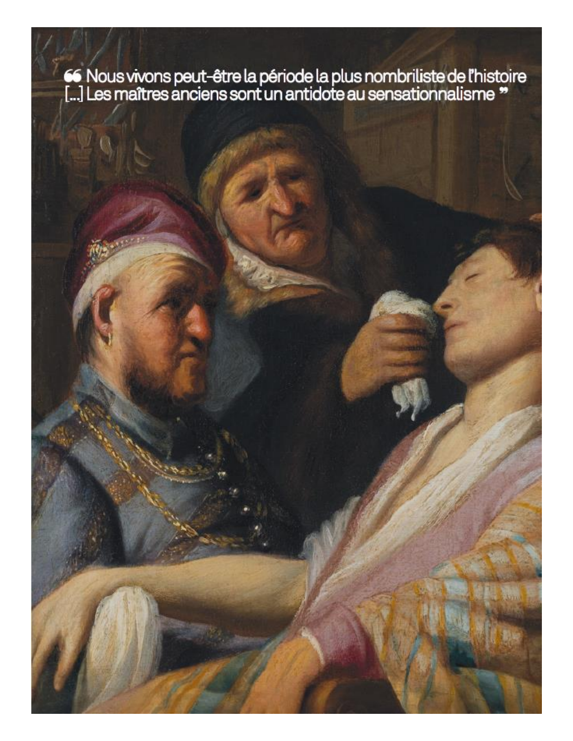66 Nous vivons peut-être la période la plus nombriliste de l'histoire<br>[...] Les maîtres anciens sont un antidote au sensationnalisme "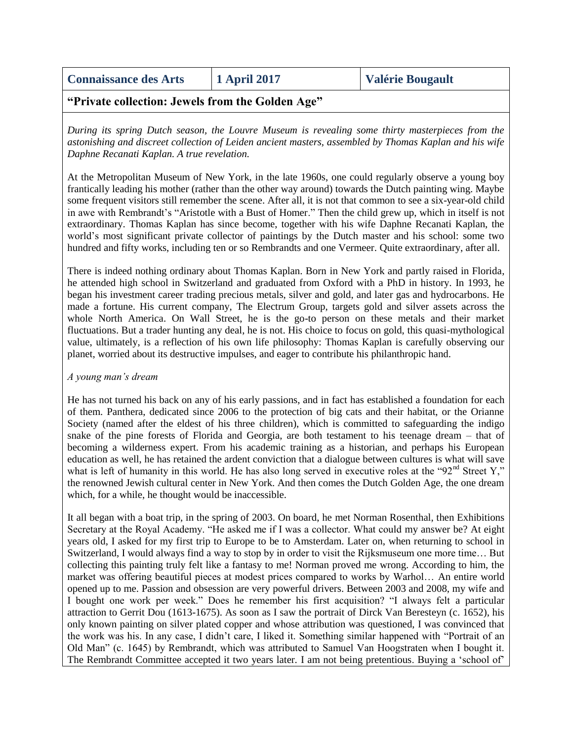| $\vert$ 1 April 2017 | Valérie Bougault |
|----------------------|------------------|
|                      |                  |

### **"Private collection: Jewels from the Golden Age"**

*During its spring Dutch season, the Louvre Museum is revealing some thirty masterpieces from the astonishing and discreet collection of Leiden ancient masters, assembled by Thomas Kaplan and his wife Daphne Recanati Kaplan. A true revelation.*

At the Metropolitan Museum of New York, in the late 1960s, one could regularly observe a young boy frantically leading his mother (rather than the other way around) towards the Dutch painting wing. Maybe some frequent visitors still remember the scene. After all, it is not that common to see a six-year-old child in awe with Rembrandt's "Aristotle with a Bust of Homer." Then the child grew up, which in itself is not extraordinary. Thomas Kaplan has since become, together with his wife Daphne Recanati Kaplan, the world's most significant private collector of paintings by the Dutch master and his school: some two hundred and fifty works, including ten or so Rembrandts and one Vermeer. Quite extraordinary, after all.

There is indeed nothing ordinary about Thomas Kaplan. Born in New York and partly raised in Florida, he attended high school in Switzerland and graduated from Oxford with a PhD in history. In 1993, he began his investment career trading precious metals, silver and gold, and later gas and hydrocarbons. He made a fortune. His current company, The Electrum Group, targets gold and silver assets across the whole North America. On Wall Street, he is the go-to person on these metals and their market fluctuations. But a trader hunting any deal, he is not. His choice to focus on gold, this quasi-mythological value, ultimately, is a reflection of his own life philosophy: Thomas Kaplan is carefully observing our planet, worried about its destructive impulses, and eager to contribute his philanthropic hand.

### *A young man's dream*

He has not turned his back on any of his early passions, and in fact has established a foundation for each of them. Panthera, dedicated since 2006 to the protection of big cats and their habitat, or the Orianne Society (named after the eldest of his three children), which is committed to safeguarding the indigo snake of the pine forests of Florida and Georgia, are both testament to his teenage dream – that of becoming a wilderness expert. From his academic training as a historian, and perhaps his European education as well, he has retained the ardent conviction that a dialogue between cultures is what will save what is left of humanity in this world. He has also long served in executive roles at the "92<sup>nd</sup> Street Y," the renowned Jewish cultural center in New York. And then comes the Dutch Golden Age, the one dream which, for a while, he thought would be inaccessible.

It all began with a boat trip, in the spring of 2003. On board, he met Norman Rosenthal, then Exhibitions Secretary at the Royal Academy. "He asked me if I was a collector. What could my answer be? At eight years old, I asked for my first trip to Europe to be to Amsterdam. Later on, when returning to school in Switzerland, I would always find a way to stop by in order to visit the Rijksmuseum one more time… But collecting this painting truly felt like a fantasy to me! Norman proved me wrong. According to him, the market was offering beautiful pieces at modest prices compared to works by Warhol… An entire world opened up to me. Passion and obsession are very powerful drivers. Between 2003 and 2008, my wife and I bought one work per week." Does he remember his first acquisition? "I always felt a particular attraction to Gerrit Dou (1613-1675). As soon as I saw the portrait of Dirck Van Beresteyn (c. 1652), his only known painting on silver plated copper and whose attribution was questioned, I was convinced that the work was his. In any case, I didn't care, I liked it. Something similar happened with "Portrait of an Old Man" (c. 1645) by Rembrandt, which was attributed to Samuel Van Hoogstraten when I bought it. The Rembrandt Committee accepted it two years later. I am not being pretentious. Buying a 'school of'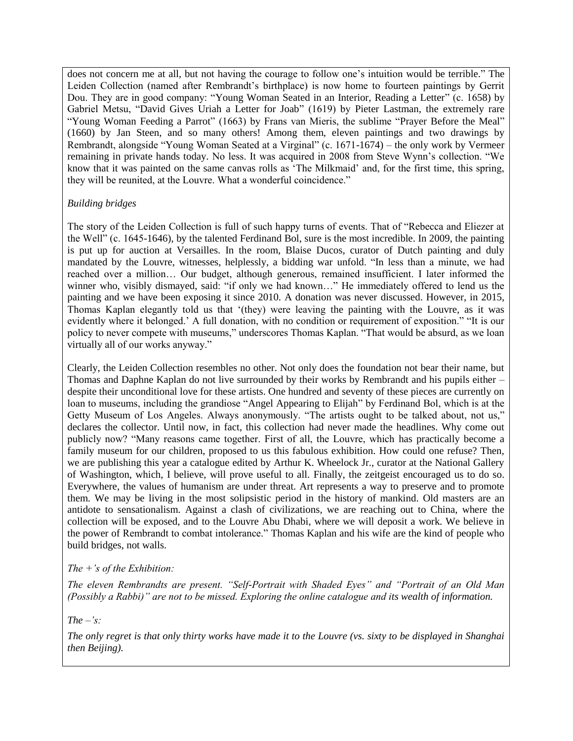does not concern me at all, but not having the courage to follow one's intuition would be terrible." The Leiden Collection (named after Rembrandt's birthplace) is now home to fourteen paintings by Gerrit Dou. They are in good company: "Young Woman Seated in an Interior, Reading a Letter" (c. 1658) by Gabriel Metsu, "David Gives Uriah a Letter for Joab" (1619) by Pieter Lastman, the extremely rare "Young Woman Feeding a Parrot" (1663) by Frans van Mieris, the sublime "Prayer Before the Meal" (1660) by Jan Steen, and so many others! Among them, eleven paintings and two drawings by Rembrandt, alongside "Young Woman Seated at a Virginal" (c. 1671-1674) – the only work by Vermeer remaining in private hands today. No less. It was acquired in 2008 from Steve Wynn's collection. "We know that it was painted on the same canvas rolls as 'The Milkmaid' and, for the first time, this spring, they will be reunited, at the Louvre. What a wonderful coincidence."

### *Building bridges*

The story of the Leiden Collection is full of such happy turns of events. That of "Rebecca and Eliezer at the Well" (c. 1645-1646), by the talented Ferdinand Bol, sure is the most incredible. In 2009, the painting is put up for auction at Versailles. In the room, Blaise Ducos, curator of Dutch painting and duly mandated by the Louvre, witnesses, helplessly, a bidding war unfold. "In less than a minute, we had reached over a million… Our budget, although generous, remained insufficient. I later informed the winner who, visibly dismayed, said: "if only we had known…" He immediately offered to lend us the painting and we have been exposing it since 2010. A donation was never discussed. However, in 2015, Thomas Kaplan elegantly told us that '(they) were leaving the painting with the Louvre, as it was evidently where it belonged.' A full donation, with no condition or requirement of exposition." "It is our policy to never compete with museums," underscores Thomas Kaplan. "That would be absurd, as we loan virtually all of our works anyway."

Clearly, the Leiden Collection resembles no other. Not only does the foundation not bear their name, but Thomas and Daphne Kaplan do not live surrounded by their works by Rembrandt and his pupils either – despite their unconditional love for these artists. One hundred and seventy of these pieces are currently on loan to museums, including the grandiose "Angel Appearing to Elijah" by Ferdinand Bol, which is at the Getty Museum of Los Angeles. Always anonymously. "The artists ought to be talked about, not us," declares the collector. Until now, in fact, this collection had never made the headlines. Why come out publicly now? "Many reasons came together. First of all, the Louvre, which has practically become a family museum for our children, proposed to us this fabulous exhibition. How could one refuse? Then, we are publishing this year a catalogue edited by Arthur K. Wheelock Jr., curator at the National Gallery of Washington, which, I believe, will prove useful to all. Finally, the zeitgeist encouraged us to do so. Everywhere, the values of humanism are under threat. Art represents a way to preserve and to promote them. We may be living in the most solipsistic period in the history of mankind. Old masters are an antidote to sensationalism. Against a clash of civilizations, we are reaching out to China, where the collection will be exposed, and to the Louvre Abu Dhabi, where we will deposit a work. We believe in the power of Rembrandt to combat intolerance." Thomas Kaplan and his wife are the kind of people who build bridges, not walls.

## *The +'s of the Exhibition:*

*The eleven Rembrandts are present. "Self-Portrait with Shaded Eyes" and "Portrait of an Old Man (Possibly a Rabbi)" are not to be missed. Exploring the online catalogue and its wealth of information.*

*The –'s:*

*The only regret is that only thirty works have made it to the Louvre (vs. sixty to be displayed in Shanghai then Beijing).*